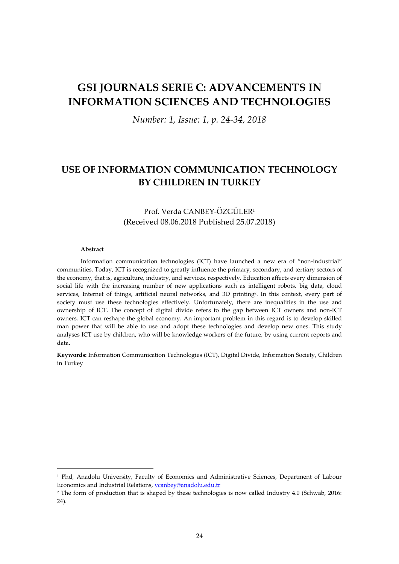# **GSI JOURNALS SERIE C: ADVANCEMENTS IN INFORMATION SCIENCES AND TECHNOLOGIES**

*Number: 1, Issue: 1, p. 24-34, 2018*

## **USE OF INFORMATION COMMUNICATION TECHNOLOGY BY CHILDREN IN TURKEY**

### Prof. Verda CANBEY-ÖZGÜLER<sup>1</sup> (Received 08.06.2018 Published 25.07.2018)

#### **Abstract**

1

Information communication technologies (ICT) have launched a new era of "non-industrial" communities. Today, ICT is recognized to greatly influence the primary, secondary, and tertiary sectors of the economy, that is, agriculture, industry, and services, respectively. Education affects every dimension of social life with the increasing number of new applications such as intelligent robots, big data, cloud services, Internet of things, artificial neural networks, and 3D printing<sup>2</sup>. In this context, every part of society must use these technologies effectively. Unfortunately, there are inequalities in the use and ownership of ICT. The concept of digital divide refers to the gap between ICT owners and non-ICT owners. ICT can reshape the global economy. An important problem in this regard is to develop skilled man power that will be able to use and adopt these technologies and develop new ones. This study analyses ICT use by children, who will be knowledge workers of the future, by using current reports and data.

**Keywords:** Information Communication Technologies (ICT), Digital Divide, Information Society, Children in Turkey

<sup>1</sup> Phd, Anadolu University, Faculty of Economics and Administrative Sciences, Department of Labour Economics and Industrial Relations, *ycanbey@anadolu.edu.tr* 

<sup>&</sup>lt;sup>2</sup> The form of production that is shaped by these technologies is now called Industry 4.0 (Schwab, 2016: 24).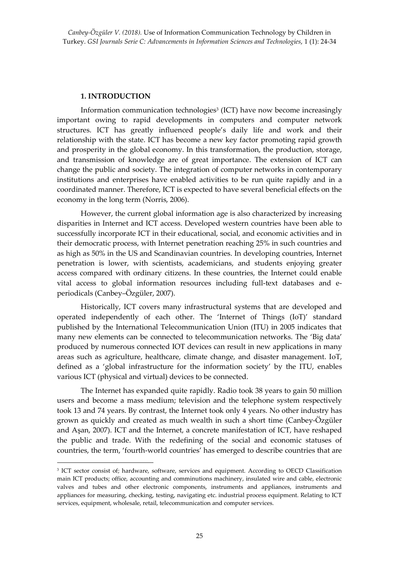#### **1. INTRODUCTION**

1

Information communication technologies<sup>3</sup> (ICT) have now become increasingly important owing to rapid developments in computers and computer network structures. ICT has greatly influenced people's daily life and work and their relationship with the state. ICT has become a new key factor promoting rapid growth and prosperity in the global economy. In this transformation, the production, storage, and transmission of knowledge are of great importance. The extension of ICT can change the public and society. The integration of computer networks in contemporary institutions and enterprises have enabled activities to be run quite rapidly and in a coordinated manner. Therefore, ICT is expected to have several beneficial effects on the economy in the long term (Norris, 2006).

However, the current global information age is also characterized by increasing disparities in Internet and ICT access. Developed western countries have been able to successfully incorporate ICT in their educational, social, and economic activities and in their democratic process, with Internet penetration reaching 25% in such countries and as high as 50% in the US and Scandinavian countries. In developing countries, Internet penetration is lower, with scientists, academicians, and students enjoying greater access compared with ordinary citizens. In these countries, the Internet could enable vital access to global information resources including full-text databases and eperiodicals (Canbey–Özgüler, 2007).

Historically, ICT covers many infrastructural systems that are developed and operated independently of each other. The 'Internet of Things (IoT)' standard published by the International Telecommunication Union (ITU) in 2005 indicates that many new elements can be connected to telecommunication networks. The 'Big data' produced by numerous connected IOT devices can result in new applications in many areas such as agriculture, healthcare, climate change, and disaster management. IoT, defined as a 'global infrastructure for the information society' by the ITU, enables various ICT (physical and virtual) devices to be connected.

The Internet has expanded quite rapidly. Radio took 38 years to gain 50 million users and become a mass medium; television and the telephone system respectively took 13 and 74 years. By contrast, the Internet took only 4 years. No other industry has grown as quickly and created as much wealth in such a short time (Canbey-Özgüler and Aşan, 2007). ICT and the Internet, a concrete manifestation of ICT, have reshaped the public and trade. With the redefining of the social and economic statuses of countries, the term, 'fourth-world countries' has emerged to describe countries that are

<sup>3</sup> ICT sector consist of; hardware, software, services and equipment. According to OECD Classification main ICT products; office, accounting and comminutions machinery, insulated wire and cable, electronic valves and tubes and other electronic components, instruments and appliances, instruments and appliances for measuring, checking, testing, navigating etc. industrial process equipment. Relating to ICT services, equipment, wholesale, retail, telecommunication and computer services.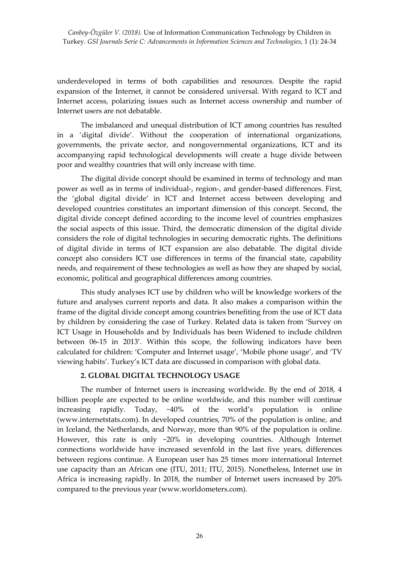*Canbey-Özgüler V. (2018).* Use of Information Communication Technology by Children in Turkey. *GSI Journals Serie C: Advancements in Information Sciences and Technologies*, 1 (1): 24-34

underdeveloped in terms of both capabilities and resources. Despite the rapid expansion of the Internet, it cannot be considered universal. With regard to ICT and Internet access, polarizing issues such as Internet access ownership and number of Internet users are not debatable.

The imbalanced and unequal distribution of ICT among countries has resulted in a 'digital divide'. Without the cooperation of international organizations, governments, the private sector, and nongovernmental organizations, ICT and its accompanying rapid technological developments will create a huge divide between poor and wealthy countries that will only increase with time.

The digital divide concept should be examined in terms of technology and man power as well as in terms of individual-, region-, and gender-based differences. First, the 'global digital divide' in ICT and Internet access between developing and developed countries constitutes an important dimension of this concept. Second, the digital divide concept defined according to the income level of countries emphasizes the social aspects of this issue. Third, the democratic dimension of the digital divide considers the role of digital technologies in securing democratic rights. The definitions of digital divide in terms of ICT expansion are also debatable. The digital divide concept also considers ICT use differences in terms of the financial state, capability needs, and requirement of these technologies as well as how they are shaped by social, economic, political and geographical differences among countries.

This study analyses ICT use by children who will be knowledge workers of the future and analyses current reports and data. It also makes a comparison within the frame of the digital divide concept among countries benefiting from the use of ICT data by children by considering the case of Turkey. Related data is taken from 'Survey on ICT Usage in Households and by Individuals has been Widened to include children between 06-15 in 2013'. Within this scope, the following indicators have been calculated for children: 'Computer and Internet usage', 'Mobile phone usage', and 'TV viewing habits'. Turkey's ICT data are discussed in comparison with global data.

#### **2. GLOBAL DIGITAL TECHNOLOGY USAGE**

The number of Internet users is increasing worldwide. By the end of 2018, 4 billion people are expected to be online worldwide, and this number will continue increasing rapidly. Today, ~40% of the world's population is online (www.internetstats.com). In developed countries, 70% of the population is online, and in Iceland, the Netherlands, and Norway, more than 90% of the population is online. However, this rate is only ~20% in developing countries. Although Internet connections worldwide have increased sevenfold in the last five years, differences between regions continue. A European user has 25 times more international Internet use capacity than an African one (ITU, 2011; ITU, 2015). Nonetheless, Internet use in Africa is increasing rapidly. In 2018, the number of Internet users increased by 20% compared to the previous year [\(www.worldometers.com\)](http://www.worldometers.com/).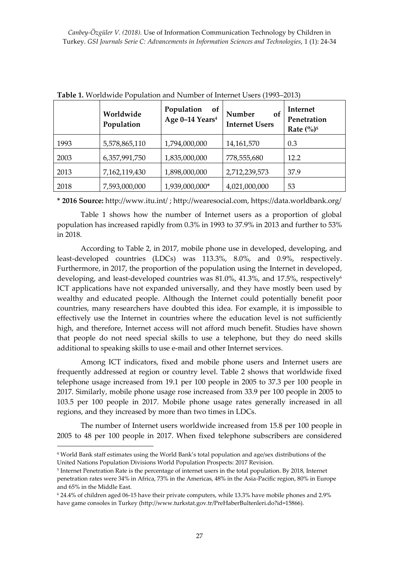|      | Worldwide<br>Population | Population<br><b>of</b><br>Age 0-14 Years <sup>4</sup> | Number<br>of<br><b>Internet Users</b> | Internet<br>Penetration<br>Rate $\left(\frac{0}{0}\right)^5$ |
|------|-------------------------|--------------------------------------------------------|---------------------------------------|--------------------------------------------------------------|
| 1993 | 5,578,865,110           | 1,794,000,000                                          | 14,161,570                            | 0.3                                                          |
| 2003 | 6,357,991,750           | 1,835,000,000                                          | 778,555,680                           | 12.2                                                         |
| 2013 | 7,162,119,430           | 1,898,000,000                                          | 2,712,239,573                         | 37.9                                                         |
| 2018 | 7,593,000,000           | 1,939,000,000*                                         | 4,021,000,000                         | 53                                                           |

**Table 1.** Worldwide Population and Number of Internet Users (1993–2013)

**\* 2016 Source:** <http://www.itu.int/> [; http://wearesocial.com,](http://wearesocial.com/) https://data.worldbank.org/

Table 1 shows how the number of Internet users as a proportion of global population has increased rapidly from 0.3% in 1993 to 37.9% in 2013 and further to 53% in 2018.

According to Table 2, in 2017, mobile phone use in developed, developing, and least-developed countries (LDCs) was 113.3%, 8.0%, and 0.9%, respectively. Furthermore, in 2017, the proportion of the population using the Internet in developed, developing, and least-developed countries was 81.0%, 41.3%, and 17.5%, respectively<sup>6</sup> ICT applications have not expanded universally, and they have mostly been used by wealthy and educated people. Although the Internet could potentially benefit poor countries, many researchers have doubted this idea. For example, it is impossible to effectively use the Internet in countries where the education level is not sufficiently high, and therefore, Internet access will not afford much benefit. Studies have shown that people do not need special skills to use a telephone, but they do need skills additional to speaking skills to use e-mail and other Internet services.

Among ICT indicators, fixed and mobile phone users and Internet users are frequently addressed at region or country level. Table 2 shows that worldwide fixed telephone usage increased from 19.1 per 100 people in 2005 to 37.3 per 100 people in 2017. Similarly, mobile phone usage rose increased from 33.9 per 100 people in 2005 to 103.5 per 100 people in 2017. Mobile phone usage rates generally increased in all regions, and they increased by more than two times in LDCs.

The number of Internet users worldwide increased from 15.8 per 100 people in 2005 to 48 per 100 people in 2017. When fixed telephone subscribers are considered

1

<sup>4</sup> World Bank staff estimates using the World Bank's total population and age/sex distributions of the United Nations Population Divisions World Population Prospects: 2017 Revision.

<sup>5</sup> Internet Penetration Rate is the percentage of internet users in the total population. By 2018, Internet penetration rates were 34% in Africa, 73% in the Americas, 48% in the Asia-Pacific region, 80% in Europe and 65% in the Middle East.

<sup>6</sup> 24.4% of children aged 06-15 have their private computers, while 13.3% have mobile phones and 2.9% have game consoles in Turkey (http://www.turkstat.gov.tr/PreHaberBultenleri.do?id=15866).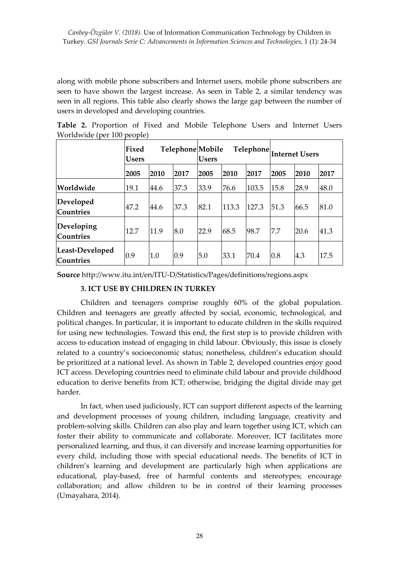along with mobile phone subscribers and Internet users, mobile phone subscribers are seen to have shown the largest increase. As seen in Table 2, a similar tendency was seen in all regions. This table also clearly shows the large gap between the number of users in developed and developing countries.

|                                     | Fixed<br>Telephone Mobile<br><b>Users</b> |      |      | <b>Users</b> |       |       | $\fbox{Telephone} \Big _\text{Internet Users}$ |      |      |
|-------------------------------------|-------------------------------------------|------|------|--------------|-------|-------|------------------------------------------------|------|------|
|                                     | 2005                                      | 2010 | 2017 | 2005         | 2010  | 2017  | 2005                                           | 2010 | 2017 |
| Worldwide                           | 19.1                                      | 44.6 | 37.3 | 33.9         | 76.6  | 103.5 | 15.8                                           | 28.9 | 48.0 |
| Developed<br><b>Countries</b>       | 47.2                                      | 44.6 | 37.3 | 82.1         | 113.3 | 127.3 | 51.3                                           | 66.5 | 81.0 |
| Developing<br><b>Countries</b>      | 12.7                                      | 11.9 | 8.0  | 22.9         | 68.5  | 98.7  | 7.7                                            | 20.6 | 41.3 |
| Least-Developed<br><b>Countries</b> | 0.9                                       | 1.0  | 0.9  | 5.0          | 33.1  | 70.4  | 0.8                                            | 4.3  | 17.5 |

**Table 2.** Proportion of Fixed and Mobile Telephone Users and Internet Users Worldwide (per 100 people)

**Source** http://www.itu.int/en/ITU-D/Statistics/Pages/definitions/regions.aspx

#### **3. ICT USE BY CHILDREN IN TURKEY**

Children and teenagers comprise roughly 60% of the global population. Children and teenagers are greatly affected by social, economic, technological, and political changes. In particular, it is important to educate children in the skills required for using new technologies. Toward this end, the first step is to provide children with access to education instead of engaging in child labour. Obviously, this issue is closely related to a country's socioeconomic status; nonetheless, children's education should be prioritized at a national level. As shown in Table 2, developed countries enjoy good ICT access. Developing countries need to eliminate child labour and provide childhood education to derive benefits from ICT; otherwise, bridging the digital divide may get harder.

In fact, when used judiciously, ICT can support different aspects of the learning and development processes of young children, including language, creativity and problem-solving skills. Children can also play and learn together using ICT, which can foster their ability to communicate and collaborate. Moreover, ICT facilitates more personalized learning, and thus, it can diversify and increase learning opportunities for every child, including those with special educational needs. The benefits of ICT in children's learning and development are particularly high when applications are educational, play-based, free of harmful contents and stereotypes; encourage collaboration; and allow children to be in control of their learning processes (Umayahara, 2014).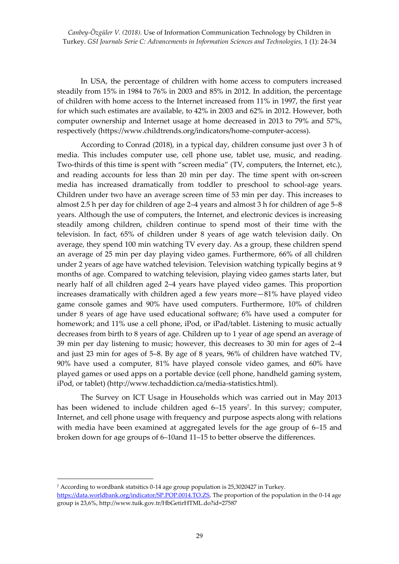*Canbey-Özgüler V. (2018).* Use of Information Communication Technology by Children in Turkey. *GSI Journals Serie C: Advancements in Information Sciences and Technologies*, 1 (1): 24-34

In USA, the percentage of children with home access to computers increased steadily from 15% in 1984 to 76% in 2003 and 85% in 2012. In addition, the percentage of children with home access to the Internet increased from 11% in 1997, the first year for which such estimates are available, to 42% in 2003 and 62% in 2012. However, both computer ownership and Internet usage at home decreased in 2013 to 79% and 57%, respectively [\(https://www.childtrends.org/indicators/home-computer-access\)](https://www.childtrends.org/indicators/home-computer-access).

According to Conrad (2018), in a typical day, children consume just over 3 h of media. This includes computer use, cell phone use, tablet use, music, and reading. Two-thirds of this time is spent with "screen media" (TV, computers, the Internet, etc.), and reading accounts for less than 20 min per day. The time spent with on-screen media has increased dramatically from toddler to preschool to school-age years. Children under two have an average screen time of 53 min per day. This increases to almost 2.5 h per day for children of age 2–4 years and almost 3 h for children of age 5–8 years. Although the use of computers, the Internet, and electronic devices is increasing steadily among children, children continue to spend most of their time with the television. In fact, 65% of children under 8 years of age watch television daily. On average, they spend 100 min watching TV every day. As a group, these children spend an average of 25 min per day playing video games. Furthermore, 66% of all children under 2 years of age have watched television. Television watching typically begins at 9 months of age. Compared to watching television, playing video games starts later, but nearly half of all children aged 2–4 years have played video games. This proportion increases dramatically with children aged a few years more—81% have played video game console games and 90% have used computers. Furthermore, 10% of children under 8 years of age have used educational software; 6% have used a computer for homework; and 11% use a cell phone, iPod, or iPad/tablet. Listening to music actually decreases from birth to 8 years of age. Children up to 1 year of age spend an average of 39 min per day listening to music; however, this decreases to 30 min for ages of 2–4 and just 23 min for ages of 5–8. By age of 8 years, 96% of children have watched TV, 90% have used a computer, 81% have played console video games, and 60% have played games or used apps on a portable device (cell phone, handheld gaming system, iPod, or tablet) (http://www.techaddiction.ca/media-statistics.html).

The Survey on ICT Usage in Households which was carried out in May 2013 has been widened to include children aged 6–15 years<sup>7</sup>. In this survey; computer*,* Internet, and cell phone usage with frequency and purpose aspects along with relations with media have been examined at aggregated levels for the age group of 6–15 and broken down for age groups of 6–10and 11–15 to better observe the differences.

1

<sup>7</sup> According to wordbank statsitics 0-14 age group population is 25,3020427 in Turkey. [https://data.worldbank.org/indicator/SP.POP.0014.TO.ZS,](https://data.worldbank.org/indicator/SP.POP.0014.TO.ZS) The proportion of the population in the 0-14 age group is 23,6%, http://www.tuik.gov.tr/HbGetirHTML.do?id=27587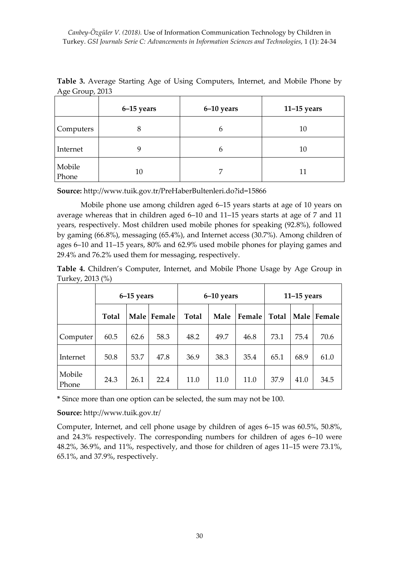|                 | 6–15 years | 6-10 years | $11-15$ years |
|-----------------|------------|------------|---------------|
| Computers       | 8          | 6          | 10            |
| Internet        |            | 6          | 10            |
| Mobile<br>Phone | 10         | ⇁          | 11            |

**Table 3.** Average Starting Age of Using Computers, Internet, and Mobile Phone by Age Group, 2013

**Source:** http://www.tuik.gov.tr/PreHaberBultenleri.do?id=15866

Mobile phone use among children aged 6–15 years starts at age of 10 years on average whereas that in children aged 6–10 and 11–15 years starts at age of 7 and 11 years, respectively. Most children used mobile phones for speaking (92.8%), followed by gaming (66.8%), messaging (65.4%), and Internet access (30.7%). Among children of ages 6–10 and 11–15 years, 80% and 62.9% used mobile phones for playing games and 29.4% and 76.2% used them for messaging, respectively.

**Table 4.** Children's Computer, Internet, and Mobile Phone Usage by Age Group in Turkey, 2013 (%)

|                 | 6-15 years   |               |      |               | 6-10 years |                 | $11-15$ years |      |               |
|-----------------|--------------|---------------|------|---------------|------------|-----------------|---------------|------|---------------|
|                 | <b>Total</b> | Male   Female |      | Male<br>Total |            | Female<br>Total |               |      | Male   Female |
| Computer        | 60.5         | 62.6          | 58.3 | 48.2          | 49.7       | 46.8            | 73.1          | 75.4 | 70.6          |
| Internet        | 50.8         | 53.7          | 47.8 | 36.9          | 38.3       | 35.4            | 65.1          | 68.9 | 61.0          |
| Mobile<br>Phone | 24.3         | 26.1          | 22.4 | 11.0          | 11.0       | 11.0            | 37.9          | 41.0 | 34.5          |

**\*** Since more than one option can be selected, the sum may not be 100.

**Source:** http://www.tuik.gov.tr/

Computer, Internet, and cell phone usage by children of ages 6–15 was 60.5%, 50.8%, and 24.3% respectively. The corresponding numbers for children of ages 6–10 were 48.2%, 36.9%, and 11%, respectively, and those for children of ages 11–15 were 73.1%, 65.1%, and 37.9%, respectively.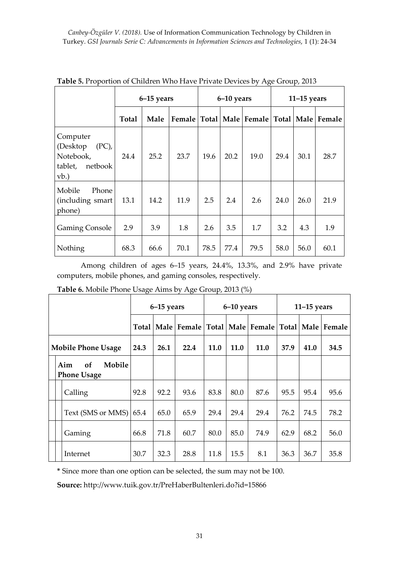|                                                                              | $6-15$ years |      |      | $6-10$ years |      |      | $11-15$ years |      |                                                        |
|------------------------------------------------------------------------------|--------------|------|------|--------------|------|------|---------------|------|--------------------------------------------------------|
|                                                                              | Total        | Male |      |              |      |      |               |      | Female   Total   Male   Female   Total   Male   Female |
| Computer<br>(Desktop)<br>$(PC)$ ,<br>Notebook,<br>tablet,<br>netbook<br>vb.) | 24.4         | 25.2 | 23.7 | 19.6         | 20.2 | 19.0 | 29.4          | 30.1 | 28.7                                                   |
| Mobile<br>Phone<br>(including smart<br>phone)                                | 13.1         | 14.2 | 11.9 | 2.5          | 2.4  | 2.6  | 24.0          | 26.0 | 21.9                                                   |
| <b>Gaming Console</b>                                                        | 2.9          | 3.9  | 1.8  | 2.6          | 3.5  | 1.7  | 3.2           | 4.3  | 1.9                                                    |
| Nothing                                                                      | 68.3         | 66.6 | 70.1 | 78.5         | 77.4 | 79.5 | 58.0          | 56.0 | 60.1                                                   |

**Table 5.** Proportion of Children Who Have Private Devices by Age Group, 2013

Among children of ages 6–15 years, 24.4%, 13.3%, and 2.9% have private computers, mobile phones, and gaming consoles, respectively.

**Table 6.** Mobile Phone Usage Aims by Age Group, 2013 (%)

|                           |  | $6-15$ years                              |       |      | $6-10$ years |             |      | $11-15$ years                                                 |      |      |      |
|---------------------------|--|-------------------------------------------|-------|------|--------------|-------------|------|---------------------------------------------------------------|------|------|------|
|                           |  |                                           | Total |      |              |             |      | Male   Female   Total   Male   Female   Total   Male   Female |      |      |      |
| <b>Mobile Phone Usage</b> |  | 24.3                                      | 26.1  | 22.4 | <b>11.0</b>  | <b>11.0</b> | 11.0 | 37.9                                                          | 41.0 | 34.5 |      |
|                           |  | Aim<br>Mobile<br>of<br><b>Phone Usage</b> |       |      |              |             |      |                                                               |      |      |      |
|                           |  | Calling                                   | 92.8  | 92.2 | 93.6         | 83.8        | 80.0 | 87.6                                                          | 95.5 | 95.4 | 95.6 |
|                           |  | Text (SMS or MMS)                         | 65.4  | 65.0 | 65.9         | 29.4        | 29.4 | 29.4                                                          | 76.2 | 74.5 | 78.2 |
|                           |  | Gaming                                    | 66.8  | 71.8 | 60.7         | 80.0        | 85.0 | 74.9                                                          | 62.9 | 68.2 | 56.0 |
|                           |  | Internet                                  | 30.7  | 32.3 | 28.8         | 11.8        | 15.5 | 8.1                                                           | 36.3 | 36.7 | 35.8 |

**\*** Since more than one option can be selected, the sum may not be 100.

**Source:** http://www.tuik.gov.tr/PreHaberBultenleri.do?id=15866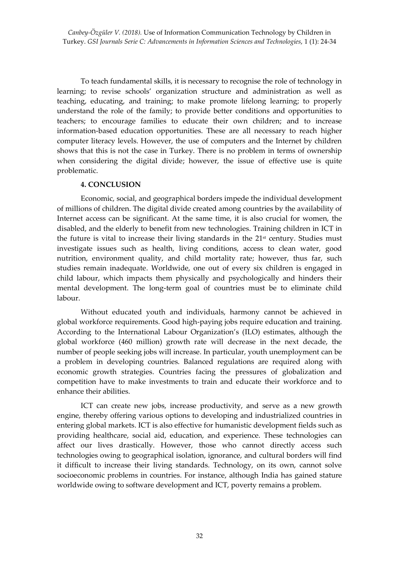*Canbey-Özgüler V. (2018).* Use of Information Communication Technology by Children in Turkey. *GSI Journals Serie C: Advancements in Information Sciences and Technologies*, 1 (1): 24-34

To teach fundamental skills, it is necessary to recognise the role of technology in learning; to revise schools' organization structure and administration as well as teaching, educating, and training; to make promote lifelong learning; to properly understand the role of the family; to provide better conditions and opportunities to teachers; to encourage families to educate their own children; and to increase information-based education opportunities. These are all necessary to reach higher computer literacy levels. However, the use of computers and the Internet by children shows that this is not the case in Turkey. There is no problem in terms of ownership when considering the digital divide; however, the issue of effective use is quite problematic.

#### **4. CONCLUSION**

Economic, social, and geographical borders impede the individual development of millions of children. The digital divide created among countries by the availability of Internet access can be significant. At the same time, it is also crucial for women, the disabled, and the elderly to benefit from new technologies. Training children in ICT in the future is vital to increase their living standards in the 21st century. Studies must investigate issues such as health, living conditions, access to clean water, good nutrition, environment quality, and child mortality rate; however, thus far, such studies remain inadequate. Worldwide, one out of every six children is engaged in child labour, which impacts them physically and psychologically and hinders their mental development. The long-term goal of countries must be to eliminate child labour.

Without educated youth and individuals, harmony cannot be achieved in global workforce requirements. Good high-paying jobs require education and training. According to the International Labour Organization's (ILO) estimates, although the global workforce (460 million) growth rate will decrease in the next decade, the number of people seeking jobs will increase. In particular, youth unemployment can be a problem in developing countries. Balanced regulations are required along with economic growth strategies. Countries facing the pressures of globalization and competition have to make investments to train and educate their workforce and to enhance their abilities.

ICT can create new jobs, increase productivity, and serve as a new growth engine, thereby offering various options to developing and industrialized countries in entering global markets. ICT is also effective for humanistic development fields such as providing healthcare, social aid, education, and experience. These technologies can affect our lives drastically. However, those who cannot directly access such technologies owing to geographical isolation, ignorance, and cultural borders will find it difficult to increase their living standards. Technology, on its own, cannot solve socioeconomic problems in countries. For instance, although India has gained stature worldwide owing to software development and ICT, poverty remains a problem.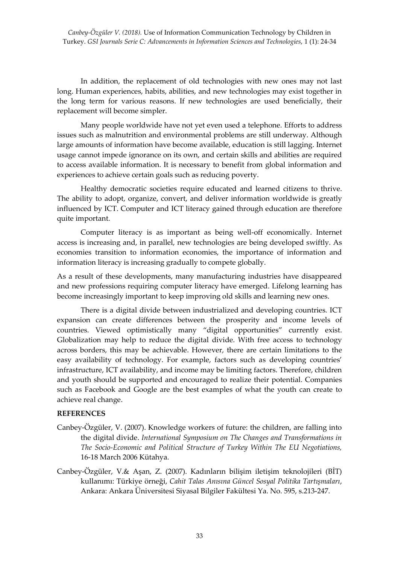In addition, the replacement of old technologies with new ones may not last long. Human experiences, habits, abilities, and new technologies may exist together in the long term for various reasons. If new technologies are used beneficially, their replacement will become simpler.

Many people worldwide have not yet even used a telephone. Efforts to address issues such as malnutrition and environmental problems are still underway. Although large amounts of information have become available, education is still lagging. Internet usage cannot impede ignorance on its own, and certain skills and abilities are required to access available information. It is necessary to benefit from global information and experiences to achieve certain goals such as reducing poverty.

Healthy democratic societies require educated and learned citizens to thrive. The ability to adopt, organize, convert, and deliver information worldwide is greatly influenced by ICT. Computer and ICT literacy gained through education are therefore quite important.

Computer literacy is as important as being well-off economically. Internet access is increasing and, in parallel, new technologies are being developed swiftly. As economies transition to information economies, the importance of information and information literacy is increasing gradually to compete globally.

As a result of these developments, many manufacturing industries have disappeared and new professions requiring computer literacy have emerged. Lifelong learning has become increasingly important to keep improving old skills and learning new ones.

There is a digital divide between industrialized and developing countries. ICT expansion can create differences between the prosperity and income levels of countries. Viewed optimistically many "digital opportunities" currently exist. Globalization may help to reduce the digital divide. With free access to technology across borders, this may be achievable. However, there are certain limitations to the easy availability of technology. For example, factors such as developing countries' infrastructure, ICT availability, and income may be limiting factors. Therefore, children and youth should be supported and encouraged to realize their potential. Companies such as Facebook and Google are the best examples of what the youth can create to achieve real change.

#### **REFERENCES**

- Canbey-Özgüler, V. (2007). Knowledge workers of future: the children, are falling into the digital divide. *International Symposium on The Changes and Transformations in The Socio-Economic and Political Structure of Turkey Within The EU Negotiations,* 16-18 March 2006 Kütahya.
- Canbey-Özgüler, V.& Aşan, Z. (2007). Kadınların bilişim iletişim teknolojileri (BİT) kullanımı: Türkiye örneği, *Cahit Talas Anısına Güncel Sosyal Politika Tartışmaları*, Ankara: Ankara Üniversitesi Siyasal Bilgiler Fakültesi Ya. No. 595, s.213-247.